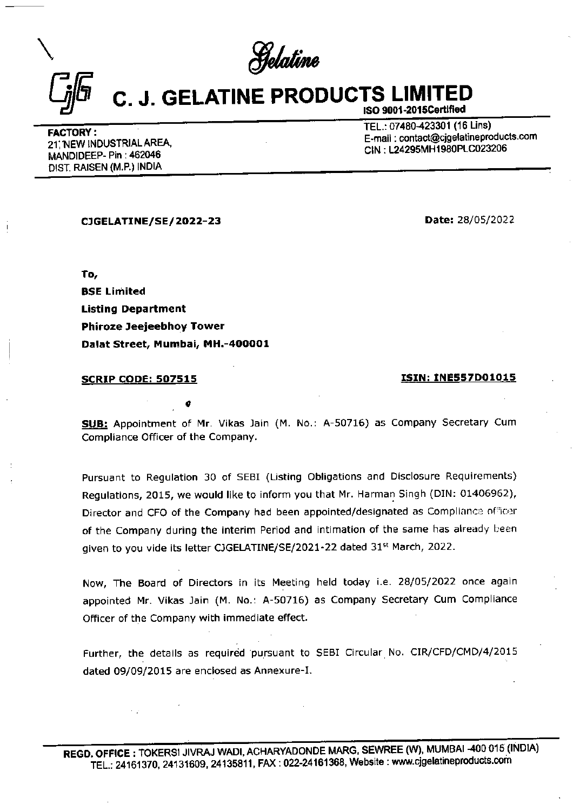\ Selaline

## C. J. GELATINE PRODUCTS LIMITED ISO 9001-2015Certified

FACTORY :<br>
21. NEW INDUSTRIAL AREA, E-mail : contact@cjgelatinepro<br>
21. NEW INDUSTRIAL AREA, E-mail : contact@cjgelatinepro 21, NEW INDUSTRIAL ONES.<br>MANDIDEEP- Pin : 462046 DIST. RAISEN (M.P.) INDIA

E-mail : contact@cjgelatineproducts.com

CIGELATINE/SE/ 2022-23 Date: 28/05/2022

To, BSE Limited Listing Department Phiroze Jeejeebhoy Tower Dalat Street, Mumbai, MH.-400001

e

## SCRIP CODE: 507515 ISIN: INE557D01015

SUB: Appointment of Mr. Vikas Jain (M. No.: A-50716) as Company Secretary Cum Compliance Officer of the Company.

Pursuant to Regulation 30 of SEBI (Listing Obligations and Disclosure Requirements) Regulations, 2015, we would like to inform you that Mr. Harman Singh (DIN: 01406962), Director and CFO of the Company had been appointed/designated as Complianca officar of the Company during the interim Period and intimation of the same has already been given to you vide its letter CJGELATINE/SE/2021-22 dated 31<sup>st</sup> March, 2022. To,<br>
BSE Limited<br>
Phiroze Jeejeebhoy Tower<br>
Dalat Street, Mumbai, MH.-400001<br>
SCRIP CODE: 507515<br>
CHIP (Numbai, MH.-400001<br>
SCRIP CODE: 507515<br>
CHIP (Numbai, MH.-400001<br>
SCRIP CODE: 507515<br>
CHIP (Numbai, NH.-400001<br>
Compli

Now, The Board of Directors in its Meeting held today i.e. 28/05/2022 once again appointed Mr. Vikas Jain (M. No.: A-50716) as Company Secretary Cum Compliance Officer of the Company with immediate effect.

Further, the details as required pursuant to SEBI Circular No. CIR/CFD/CMD/4/2015 dated 09/09/2015 are enclosed as Annexure-I.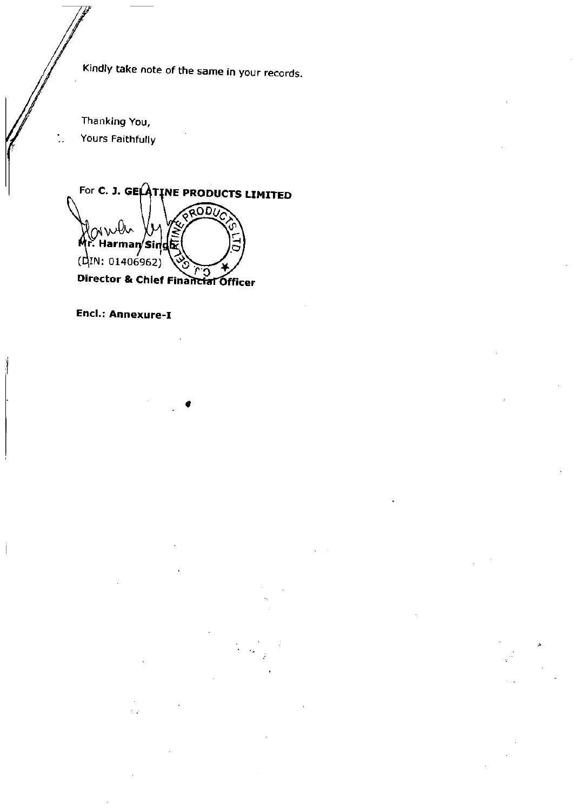Kindly take note of the same in your records,

Thanking You, Yours Faithfully

For C. J. GELATINE PRODUCTS LIMITED **RODUC** mwh r. Harman/Sing  $(MN: 01406962)$ Director & Chief Financial Officer

Encl.: Annexure-I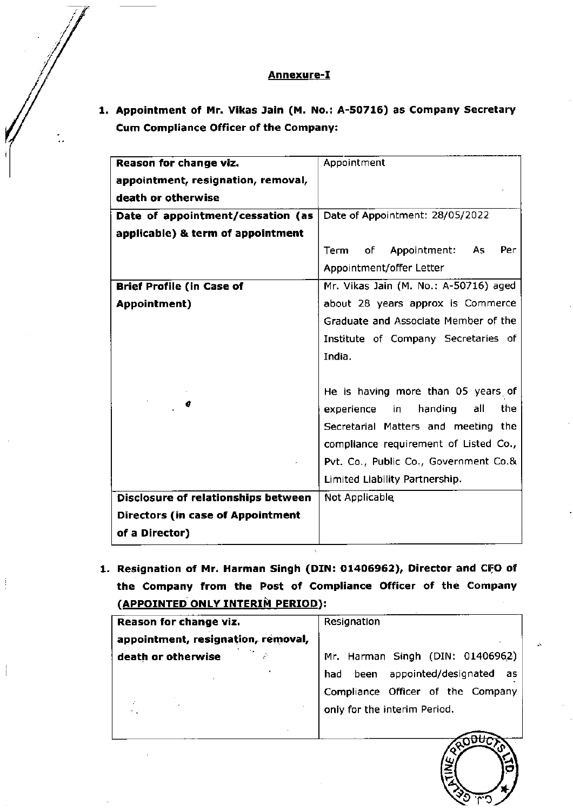## Annexure-I

1. Appointment of Mr. Vikas Jain (M. No.: A-50716) as Company Secretary **Annexure**<br> **Appointment of Mr. Vikas Jain (M. M.)**<br>
Cum Compliance Officer of the Comp Cum Compliance Officer of the Company:

| <u>Annexure-I</u>                                                    |                                               |  |
|----------------------------------------------------------------------|-----------------------------------------------|--|
|                                                                      |                                               |  |
| Appointment of Mr. Vikas Jain (M. No.: A-50716) as Company Secretary |                                               |  |
| <b>Cum Compliance Officer of the Company:</b>                        |                                               |  |
|                                                                      |                                               |  |
| Reason for change viz.                                               | Appointment                                   |  |
| appointment, resignation, removal,                                   |                                               |  |
| death or otherwise                                                   |                                               |  |
| Date of appointment/cessation (as                                    | Date of Appointment: 28/05/2022               |  |
| applicable) & term of appointment                                    |                                               |  |
|                                                                      | of<br>Appointment:<br>As<br>Per<br>Term       |  |
|                                                                      | Appointment/offer Letter                      |  |
| <b>Brief Profile (in Case of</b>                                     | Mr. Vikas Jain (M. No.: A-50716) aged         |  |
| <b>Appointment</b> )                                                 | about 28 years approx is Commerce             |  |
|                                                                      | Graduate and Associate Member of the          |  |
|                                                                      | Institute of Company Secretaries of<br>India. |  |
|                                                                      |                                               |  |
|                                                                      | He is having more than 05 years of            |  |
| σ                                                                    | handing<br>the<br>experience<br>in<br>all     |  |
|                                                                      | Secretarial Matters and meeting the           |  |
|                                                                      | compliance requirement of Listed Co.,         |  |
|                                                                      | Pvt. Co., Public Co., Government Co.&         |  |
|                                                                      | Limited Liability Partnership.                |  |
| Disclosure of relationships between                                  | Not Applicable                                |  |
| <b>Directors (in case of Appointment</b>                             |                                               |  |
| of a Director)                                                       |                                               |  |
|                                                                      |                                               |  |
| Resignation of Mr. Harman Singh (DIN: 01406962), Director and CFO of |                                               |  |
| the Company from the Post of Compliance Officer of the Company       |                                               |  |
| (APPOINTED ONLY INTERIM PERIOD):                                     |                                               |  |
| Reason for change viz.<br>appointment, resignation, removal,         | Resignation                                   |  |
| death or otherwise                                                   | Mr. Harman Singh (DIN: 01406962)              |  |
|                                                                      | appointed/designated<br>been<br>had<br>as     |  |
|                                                                      | Compliance Officer of the Company             |  |
| t v                                                                  | only for the interim Period.                  |  |
|                                                                      |                                               |  |
|                                                                      |                                               |  |

| Reason for change viz.             | Resignation                                                                                                                                  |
|------------------------------------|----------------------------------------------------------------------------------------------------------------------------------------------|
| appointment, resignation, removal, |                                                                                                                                              |
| death or otherwise<br>2020         | Mr. Harman Singh (DIN: 01406962)<br>had been appointed/designated<br>as<br>Compliance Officer of the Company<br>only for the interim Period. |
|                                    | auth<br>ے<br>ک                                                                                                                               |



 $\blacksquare$  . The contract of the contract of the contract of the contract of the contract of the contract of the contract of the contract of the contract of the contract of the contract of the contract of the contract of the